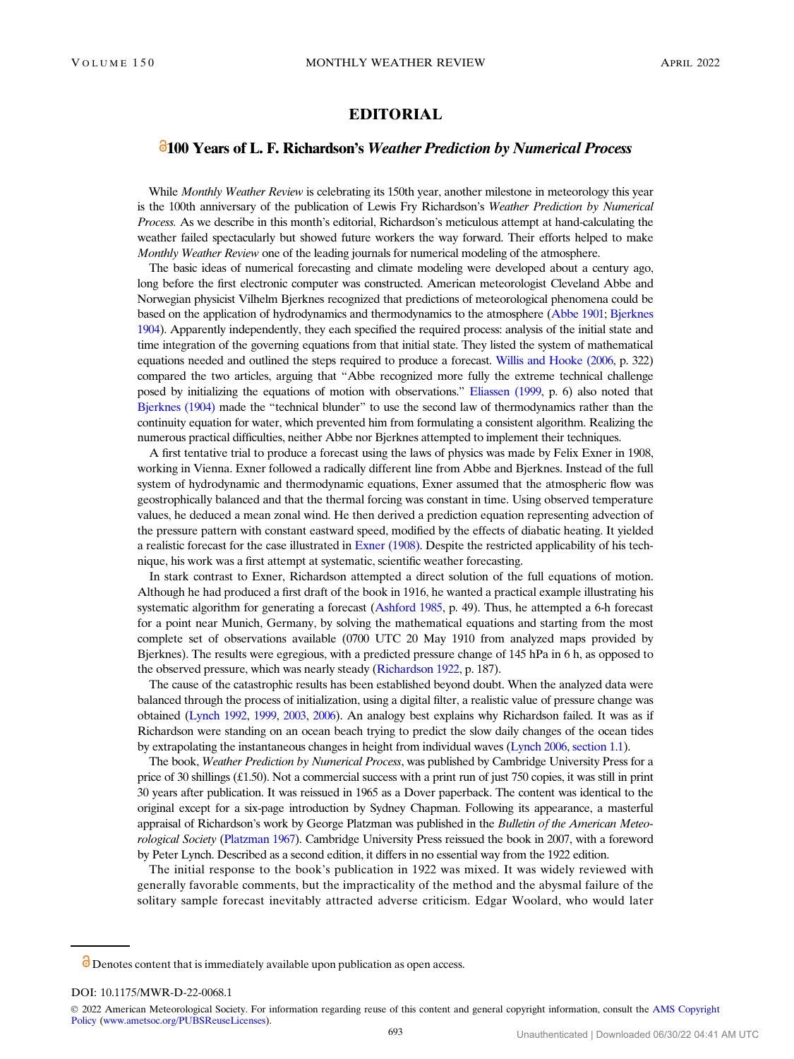## EDITORIAL

## 100 Years of L. F. Richardson's Weather Prediction by Numerical Process

While Monthly Weather Review is celebrating its 150th year, another milestone in meteorology this year is the 100th anniversary of the publication of Lewis Fry Richardson's Weather Prediction by Numerical Process. As we describe in this month's editorial, Richardson's meticulous attempt at hand-calculating the weather failed spectacularly but showed future workers the way forward. Their efforts helped to make Monthly Weather Review one of the leading journals for numerical modeling of the atmosphere.

The basic ideas of numerical forecasting and climate modeling were developed about a century ago, long before the first electronic computer was constructed. American meteorologist Cleveland Abbe and Norwegian physicist Vilhelm Bjerknes recognized that predictions of meteorological phenomena could be based on the application of hydrodynamics and thermodynamics to the atmosphere ([Abbe 1901](#page-1-0); [Bjerknes](#page-1-0) [1904](#page-1-0)). Apparently independently, they each specified the required process: analysis of the initial state and time integration of the governing equations from that initial state. They listed the system of mathematical equations needed and outlined the steps required to produce a forecast. [Willis and Hooke \(2006,](#page-2-0) p. 322) compared the two articles, arguing that "Abbe recognized more fully the extreme technical challenge posed by initializing the equations of motion with observations." [Eliassen \(1999](#page-2-0), p. 6) also noted that [Bjerknes \(1904\)](#page-1-0) made the "technical blunder" to use the second law of thermodynamics rather than the continuity equation for water, which prevented him from formulating a consistent algorithm. Realizing the numerous practical difficulties, neither Abbe nor Bjerknes attempted to implement their techniques.

A first tentative trial to produce a forecast using the laws of physics was made by Felix Exner in 1908, working in Vienna. Exner followed a radically different line from Abbe and Bjerknes. Instead of the full system of hydrodynamic and thermodynamic equations, Exner assumed that the atmospheric flow was geostrophically balanced and that the thermal forcing was constant in time. Using observed temperature values, he deduced a mean zonal wind. He then derived a prediction equation representing advection of the pressure pattern with constant eastward speed, modified by the effects of diabatic heating. It yielded a realistic forecast for the case illustrated in [Exner \(1908\).](#page-2-0) Despite the restricted applicability of his technique, his work was a first attempt at systematic, scientific weather forecasting.

In stark contrast to Exner, Richardson attempted a direct solution of the full equations of motion. Although he had produced a first draft of the book in 1916, he wanted a practical example illustrating his systematic algorithm for generating a forecast ([Ashford 1985,](#page-1-0) p. 49). Thus, he attempted a 6-h forecast for a point near Munich, Germany, by solving the mathematical equations and starting from the most complete set of observations available (0700 UTC 20 May 1910 from analyzed maps provided by Bjerknes). The results were egregious, with a predicted pressure change of 145 hPa in 6 h, as opposed to the observed pressure, which was nearly steady [\(Richardson 1922,](#page-2-0) p. 187).

The cause of the catastrophic results has been established beyond doubt. When the analyzed data were balanced through the process of initialization, using a digital filter, a realistic value of pressure change was obtained [\(Lynch 1992](#page-2-0), [1999](#page-2-0), [2003](#page-2-0), [2006\)](#page-2-0). An analogy best explains why Richardson failed. It was as if Richardson were standing on an ocean beach trying to predict the slow daily changes of the ocean tides by extrapolating the instantaneous changes in height from individual waves ([Lynch 2006,](#page-2-0) section 1.1).

The book, Weather Prediction by Numerical Process, was published by Cambridge University Press for a price of 30 shillings (£1.50). Not a commercial success with a print run of just 750 copies, it was still in print 30 years after publication. It was reissued in 1965 as a Dover paperback. The content was identical to the original except for a six-page introduction by Sydney Chapman. Following its appearance, a masterful appraisal of Richardson's work by George Platzman was published in the Bulletin of the American Meteo-rological Society [\(Platzman 1967\)](#page-2-0). Cambridge University Press reissued the book in 2007, with a foreword by Peter Lynch. Described as a second edition, it differs in no essential way from the 1922 edition.

The initial response to the book's publication in 1922 was mixed. It was widely reviewed with generally favorable comments, but the impracticality of the method and the abysmal failure of the solitary sample forecast inevitably attracted adverse criticism. Edgar Woolard, who would later

 $\dot{\mathcal{O}}$  Denotes content that is immediately available upon publication as open access.

DOI: 10.1175/MWR-D-22-0068.1

© 2022 American Meteorological Society. For information regarding reuse of this content and general copyright information, consult the [AMS Copyright](http://www.ametsoc.org/PUBSReuseLicenses) [Policy](http://www.ametsoc.org/PUBSReuseLicenses) ([www.ametsoc.org/PUBSReuseLicenses\)](http://www.ametsoc.org/PUBSReuseLicenses).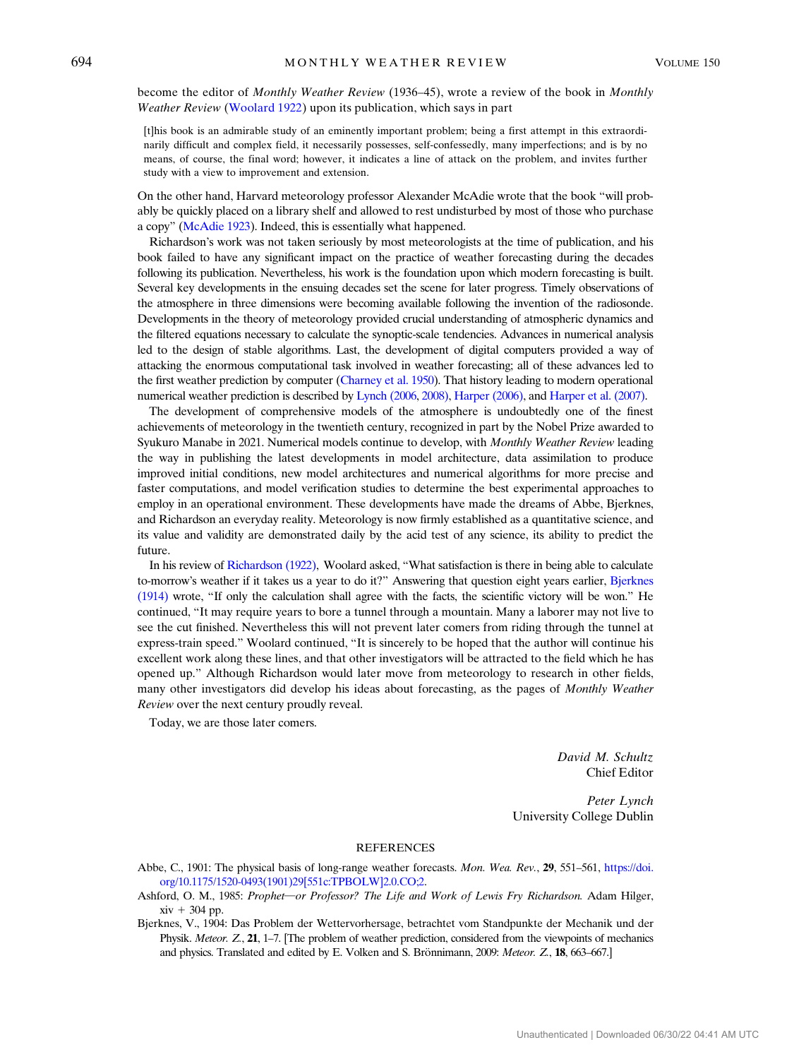<span id="page-1-0"></span>become the editor of Monthly Weather Review (1936–45), wrote a review of the book in Monthly Weather Review [\(Woolard 1922\)](#page-2-0) upon its publication, which says in part

[t]his book is an admirable study of an eminently important problem; being a first attempt in this extraordinarily difficult and complex field, it necessarily possesses, self-confessedly, many imperfections; and is by no means, of course, the final word; however, it indicates a line of attack on the problem, and invites further study with a view to improvement and extension.

On the other hand, Harvard meteorology professor Alexander McAdie wrote that the book "will probably be quickly placed on a library shelf and allowed to rest undisturbed by most of those who purchase a copy" ([McAdie 1923\)](#page-2-0). Indeed, this is essentially what happened.

Richardson's work was not taken seriously by most meteorologists at the time of publication, and his book failed to have any significant impact on the practice of weather forecasting during the decades following its publication. Nevertheless, his work is the foundation upon which modern forecasting is built. Several key developments in the ensuing decades set the scene for later progress. Timely observations of the atmosphere in three dimensions were becoming available following the invention of the radiosonde. Developments in the theory of meteorology provided crucial understanding of atmospheric dynamics and the filtered equations necessary to calculate the synoptic-scale tendencies. Advances in numerical analysis led to the design of stable algorithms. Last, the development of digital computers provided a way of attacking the enormous computational task involved in weather forecasting; all of these advances led to the first weather prediction by computer [\(Charney et al. 1950\)](#page-2-0). That history leading to modern operational numerical weather prediction is described by [Lynch \(2006](#page-2-0), [2008\)](#page-2-0), [Harper \(2006\)](#page-2-0), and [Harper et al. \(2007\)](#page-2-0).

The development of comprehensive models of the atmosphere is undoubtedly one of the finest achievements of meteorology in the twentieth century, recognized in part by the Nobel Prize awarded to Syukuro Manabe in 2021. Numerical models continue to develop, with Monthly Weather Review leading the way in publishing the latest developments in model architecture, data assimilation to produce improved initial conditions, new model architectures and numerical algorithms for more precise and faster computations, and model verification studies to determine the best experimental approaches to employ in an operational environment. These developments have made the dreams of Abbe, Bjerknes, and Richardson an everyday reality. Meteorology is now firmly established as a quantitative science, and its value and validity are demonstrated daily by the acid test of any science, its ability to predict the future.

In his review of [Richardson \(1922\),](#page-2-0) Woolard asked, "What satisfaction is there in being able to calculate to-morrow's weather if it takes us a year to do it?" Answering that question eight years earlier, [Bjerknes](#page-2-0) [\(1914\)](#page-2-0) wrote, "If only the calculation shall agree with the facts, the scientific victory will be won." He continued, "It may require years to bore a tunnel through a mountain. Many a laborer may not live to see the cut finished. Nevertheless this will not prevent later comers from riding through the tunnel at express-train speed." Woolard continued, "It is sincerely to be hoped that the author will continue his excellent work along these lines, and that other investigators will be attracted to the field which he has opened up." Although Richardson would later move from meteorology to research in other fields, many other investigators did develop his ideas about forecasting, as the pages of Monthly Weather Review over the next century proudly reveal.

Today, we are those later comers.

David M. Schultz Chief Editor

Peter Lynch University College Dublin

## **REFERENCES**

- Abbe, C., 1901: The physical basis of long-range weather forecasts. Mon. Wea. Rev., 29, 551–561, [https://doi.](https://doi.org/10.1175/1520-0493(1901)29[551c:TPBOLW]2.0.CO;2) [org/10.1175/1520-0493\(1901\)29\[551c:TPBOLW\]2.0.CO;2.](https://doi.org/10.1175/1520-0493(1901)29[551c:TPBOLW]2.0.CO;2)
- Ashford, O. M., 1985: Prophet-or Professor? The Life and Work of Lewis Fry Richardson. Adam Hilger,  $xiv + 304$  pp.
- Bjerknes, V., 1904: Das Problem der Wettervorhersage, betrachtet vom Standpunkte der Mechanik und der Physik. Meteor. Z., 21, 1–7. [The problem of weather prediction, considered from the viewpoints of mechanics and physics. Translated and edited by E. Volken and S. Brönnimann,  $2009$ : Meteor.  $Z$ , 18, 663–667.]